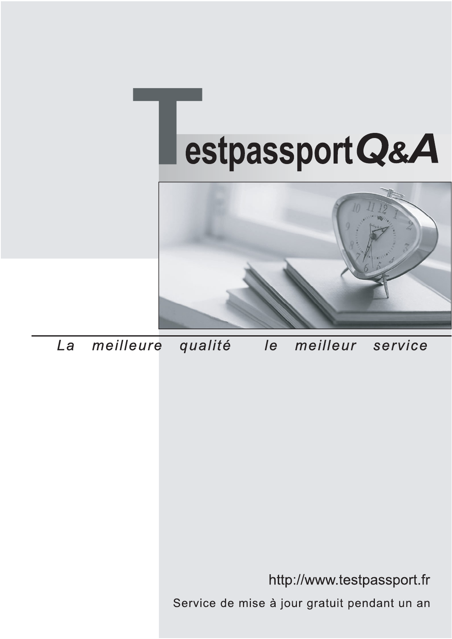



meilleure La qualité  $\overline{e}$ meilleur service

http://www.testpassport.fr

Service de mise à jour gratuit pendant un an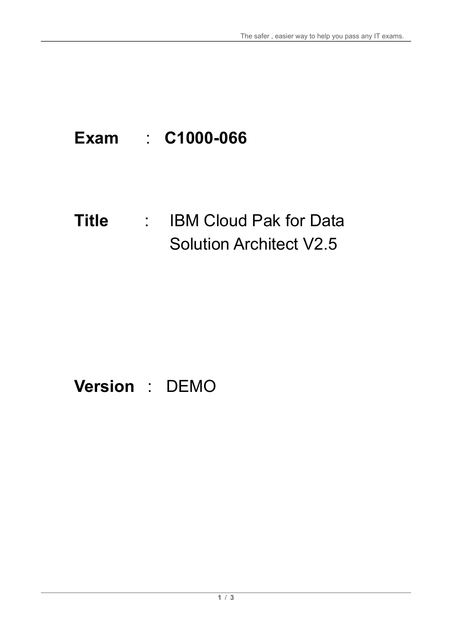# **Exam** : **C1000-066**

### **Title** : IBM Cloud Pak for Data Solution Architect V2.5

## **Version** : DEMO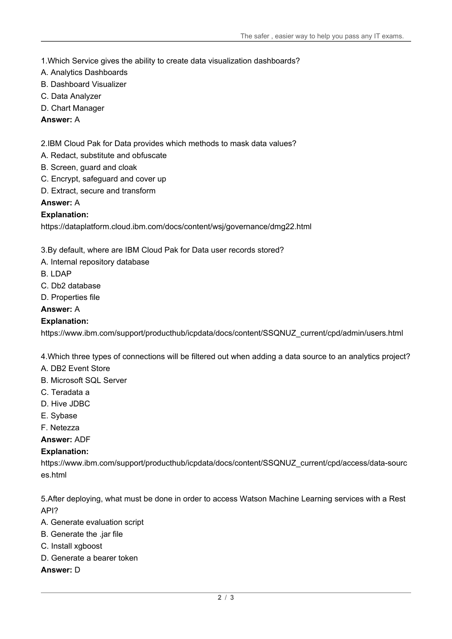- 1.Which Service gives the ability to create data visualization dashboards?
- A. Analytics Dashboards
- B. Dashboard Visualizer
- C. Data Analyzer
- D. Chart Manager

#### **Answer:** A

2.IBM Cloud Pak for Data provides which methods to mask data values?

- A. Redact, substitute and obfuscate
- B. Screen, guard and cloak
- C. Encrypt, safeguard and cover up
- D. Extract, secure and transform

#### **Answer:** A

#### **Explanation:**

https://dataplatform.cloud.ibm.com/docs/content/wsj/governance/dmg22.html

3.By default, where are IBM Cloud Pak for Data user records stored?

- A. Internal repository database
- B. LDAP
- C. Db2 database
- D. Properties file

#### **Answer:** A

#### **Explanation:**

https://www.ibm.com/support/producthub/icpdata/docs/content/SSQNUZ\_current/cpd/admin/users.html

4.Which three types of connections will be filtered out when adding a data source to an analytics project?

- A. DB2 Event Store
- B. Microsoft SQL Server
- C. Teradata a
- D. Hive JDBC
- E. Sybase
- F. Netezza

**Answer:** ADF

#### **Explanation:**

https://www.ibm.com/support/producthub/icpdata/docs/content/SSQNUZ\_current/cpd/access/data-sourc es.html

5.After deploying, what must be done in order to access Watson Machine Learning services with a Rest API?

- A. Generate evaluation script
- B. Generate the .jar file
- C. Install xgboost
- D. Generate a bearer token

#### **Answer:** D